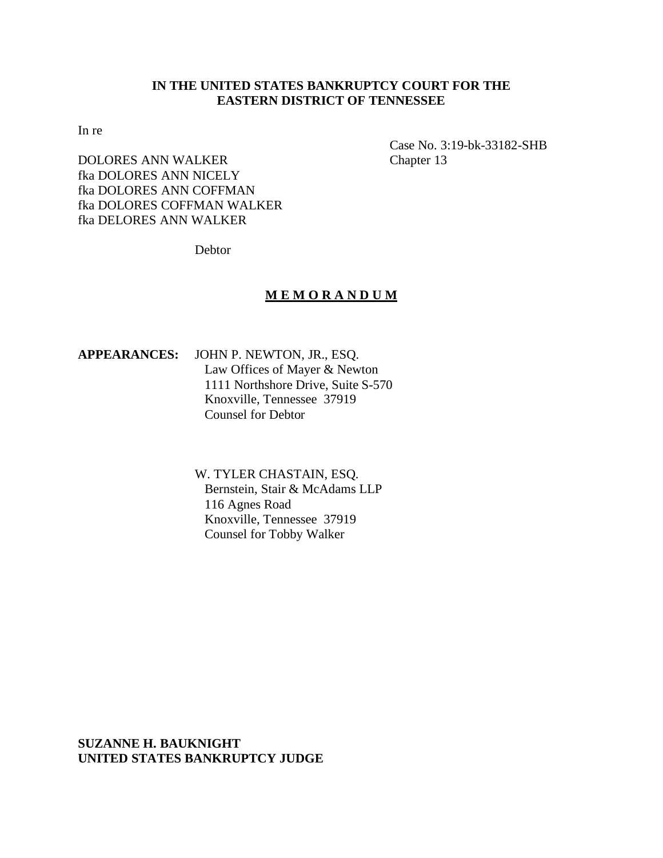# **IN THE UNITED STATES BANKRUPTCY COURT FOR THE EASTERN DISTRICT OF TENNESSEE**

In re

DOLORES ANN WALKER Chapter 13 fka DOLORES ANN NICELY fka DOLORES ANN COFFMAN fka DOLORES COFFMAN WALKER fka DELORES ANN WALKER

Case No. 3:19-bk-33182-SHB

Debtor

## **M E M O R A N D U M**

**APPEARANCES:** JOHN P. NEWTON, JR., ESQ. Law Offices of Mayer & Newton 1111 Northshore Drive, Suite S-570 Knoxville, Tennessee 37919 Counsel for Debtor

> W. TYLER CHASTAIN, ESQ. Bernstein, Stair & McAdams LLP 116 Agnes Road Knoxville, Tennessee 37919 Counsel for Tobby Walker

**SUZANNE H. BAUKNIGHT UNITED STATES BANKRUPTCY JUDGE**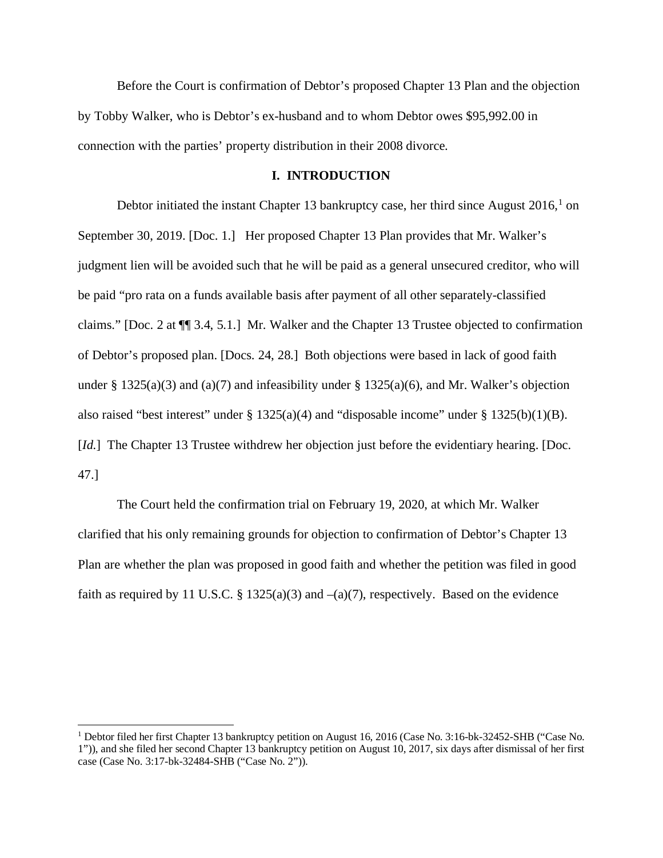Before the Court is confirmation of Debtor's proposed Chapter 13 Plan and the objection by Tobby Walker, who is Debtor's ex-husband and to whom Debtor owes \$95,992.00 in connection with the parties' property distribution in their 2008 divorce.

#### **I. INTRODUCTION**

Debtor initiated the instant Chapter [1](#page-1-0)3 bankruptcy case, her third since August  $2016<sup>1</sup>$  on September 30, 2019. [Doc. 1.] Her proposed Chapter 13 Plan provides that Mr. Walker's judgment lien will be avoided such that he will be paid as a general unsecured creditor, who will be paid "pro rata on a funds available basis after payment of all other separately-classified claims." [Doc. 2 at ¶¶ 3.4, 5.1.] Mr. Walker and the Chapter 13 Trustee objected to confirmation of Debtor's proposed plan. [Docs. 24, 28.] Both objections were based in lack of good faith under § 1325(a)(3) and (a)(7) and infeasibility under § 1325(a)(6), and Mr. Walker's objection also raised "best interest" under  $\S 1325(a)(4)$  and "disposable income" under  $\S 1325(b)(1)(B)$ . [*Id.*] The Chapter 13 Trustee withdrew her objection just before the evidentiary hearing. [Doc. 47.]

The Court held the confirmation trial on February 19, 2020, at which Mr. Walker clarified that his only remaining grounds for objection to confirmation of Debtor's Chapter 13 Plan are whether the plan was proposed in good faith and whether the petition was filed in good faith as required by 11 U.S.C. § 1325(a)(3) and  $-(a)(7)$ , respectively. Based on the evidence

<span id="page-1-0"></span><sup>1</sup> Debtor filed her first Chapter 13 bankruptcy petition on August 16, 2016 (Case No. 3:16-bk-32452-SHB ("Case No. 1")), and she filed her second Chapter 13 bankruptcy petition on August 10, 2017, six days after dismissal of her first case (Case No. 3:17-bk-32484-SHB ("Case No. 2")).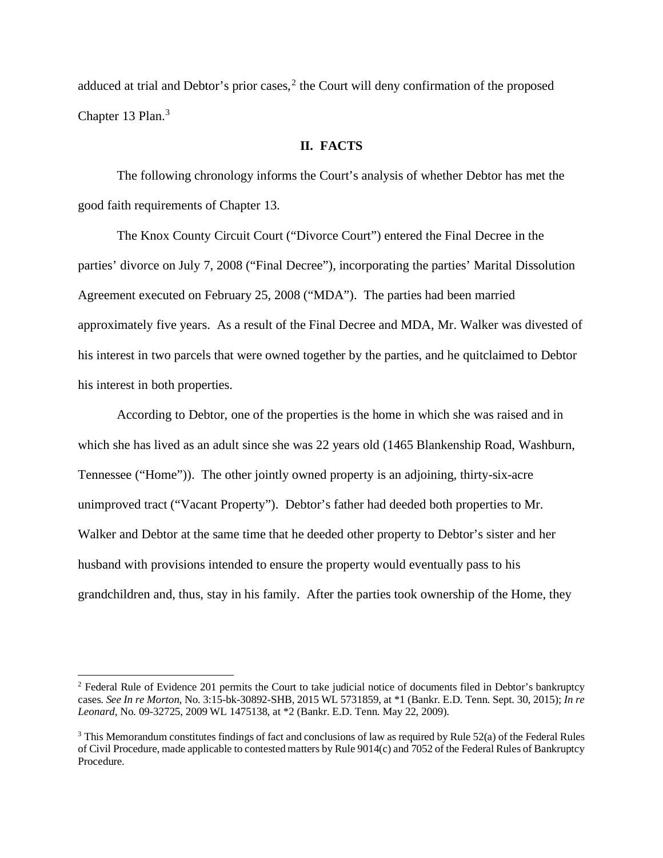adduced at trial and Debtor's prior cases, $<sup>2</sup>$  $<sup>2</sup>$  $<sup>2</sup>$  the Court will deny confirmation of the proposed</sup> Chapter 1[3](#page-2-1) Plan.<sup>3</sup>

## **II. FACTS**

The following chronology informs the Court's analysis of whether Debtor has met the good faith requirements of Chapter 13.

The Knox County Circuit Court ("Divorce Court") entered the Final Decree in the parties' divorce on July 7, 2008 ("Final Decree"), incorporating the parties' Marital Dissolution Agreement executed on February 25, 2008 ("MDA"). The parties had been married approximately five years. As a result of the Final Decree and MDA, Mr. Walker was divested of his interest in two parcels that were owned together by the parties, and he quitclaimed to Debtor his interest in both properties.

According to Debtor, one of the properties is the home in which she was raised and in which she has lived as an adult since she was 22 years old (1465 Blankenship Road, Washburn, Tennessee ("Home")). The other jointly owned property is an adjoining, thirty-six-acre unimproved tract ("Vacant Property"). Debtor's father had deeded both properties to Mr. Walker and Debtor at the same time that he deeded other property to Debtor's sister and her husband with provisions intended to ensure the property would eventually pass to his grandchildren and, thus, stay in his family. After the parties took ownership of the Home, they

<span id="page-2-0"></span><sup>&</sup>lt;sup>2</sup> Federal Rule of Evidence 201 permits the Court to take judicial notice of documents filed in Debtor's bankruptcy cases. *See In re Morton*, No. 3:15-bk-30892-SHB, 2015 WL 5731859, at \*1 (Bankr. E.D. Tenn. Sept. 30, 2015); *In re Leonard*, No. 09-32725, 2009 WL 1475138, at \*2 (Bankr. E.D. Tenn. May 22, 2009).

<span id="page-2-1"></span><sup>&</sup>lt;sup>3</sup> This Memorandum constitutes findings of fact and conclusions of law as required by Rule 52(a) of the Federal Rules of Civil Procedure, made applicable to contested matters by Rule 9014(c) and 7052 of the Federal Rules of Bankruptcy Procedure.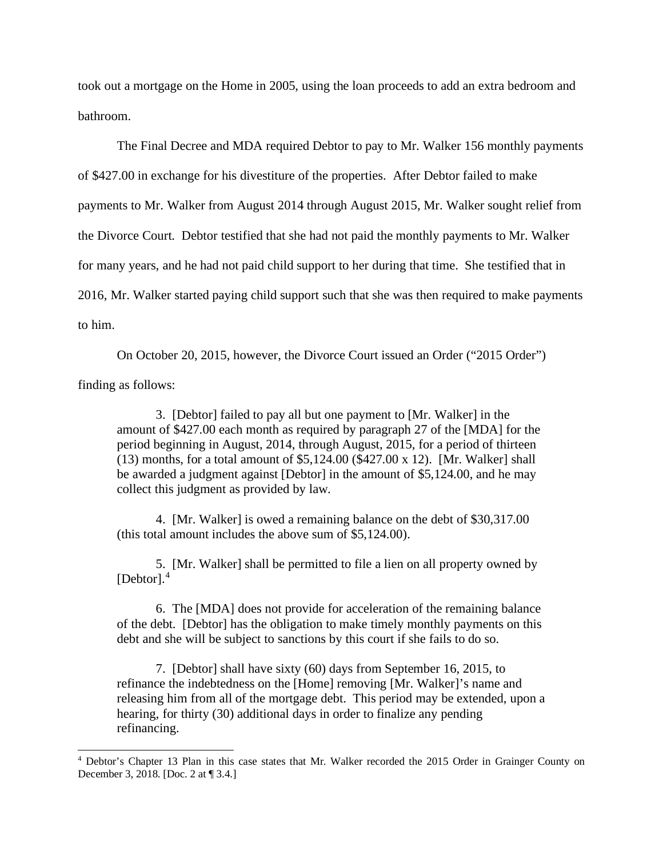took out a mortgage on the Home in 2005, using the loan proceeds to add an extra bedroom and bathroom.

The Final Decree and MDA required Debtor to pay to Mr. Walker 156 monthly payments of \$427.00 in exchange for his divestiture of the properties. After Debtor failed to make payments to Mr. Walker from August 2014 through August 2015, Mr. Walker sought relief from the Divorce Court. Debtor testified that she had not paid the monthly payments to Mr. Walker for many years, and he had not paid child support to her during that time. She testified that in 2016, Mr. Walker started paying child support such that she was then required to make payments to him.

On October 20, 2015, however, the Divorce Court issued an Order ("2015 Order")

finding as follows:

3. [Debtor] failed to pay all but one payment to [Mr. Walker] in the amount of \$427.00 each month as required by paragraph 27 of the [MDA] for the period beginning in August, 2014, through August, 2015, for a period of thirteen (13) months, for a total amount of \$5,124.00 (\$427.00 x 12). [Mr. Walker] shall be awarded a judgment against [Debtor] in the amount of \$5,124.00, and he may collect this judgment as provided by law.

4. [Mr. Walker] is owed a remaining balance on the debt of \$30,317.00 (this total amount includes the above sum of \$5,124.00).

5. [Mr. Walker] shall be permitted to file a lien on all property owned by  $[Dektor].<sup>4</sup>$  $[Dektor].<sup>4</sup>$  $[Dektor].<sup>4</sup>$ 

6. The [MDA] does not provide for acceleration of the remaining balance of the debt. [Debtor] has the obligation to make timely monthly payments on this debt and she will be subject to sanctions by this court if she fails to do so.

7. [Debtor] shall have sixty (60) days from September 16, 2015, to refinance the indebtedness on the [Home] removing [Mr. Walker]'s name and releasing him from all of the mortgage debt. This period may be extended, upon a hearing, for thirty (30) additional days in order to finalize any pending refinancing.

<span id="page-3-0"></span><sup>4</sup> Debtor's Chapter 13 Plan in this case states that Mr. Walker recorded the 2015 Order in Grainger County on December 3, 2018. [Doc. 2 at ¶ 3.4.]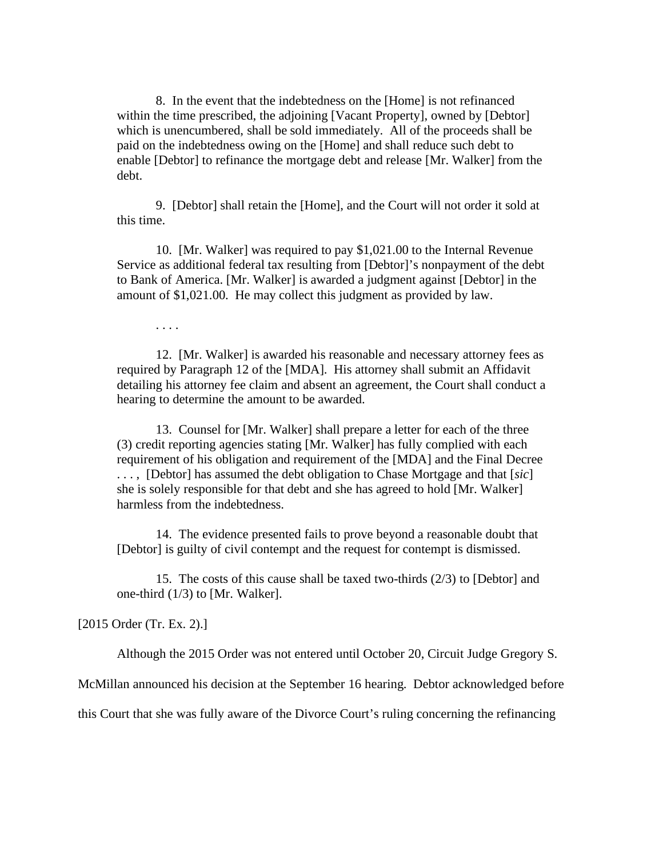8. In the event that the indebtedness on the [Home] is not refinanced within the time prescribed, the adjoining [Vacant Property], owned by [Debtor] which is unencumbered, shall be sold immediately. All of the proceeds shall be paid on the indebtedness owing on the [Home] and shall reduce such debt to enable [Debtor] to refinance the mortgage debt and release [Mr. Walker] from the debt.

9. [Debtor] shall retain the [Home], and the Court will not order it sold at this time.

10. [Mr. Walker] was required to pay \$1,021.00 to the Internal Revenue Service as additional federal tax resulting from [Debtor]'s nonpayment of the debt to Bank of America. [Mr. Walker] is awarded a judgment against [Debtor] in the amount of \$1,021.00. He may collect this judgment as provided by law.

. . . .

12. [Mr. Walker] is awarded his reasonable and necessary attorney fees as required by Paragraph 12 of the [MDA]. His attorney shall submit an Affidavit detailing his attorney fee claim and absent an agreement, the Court shall conduct a hearing to determine the amount to be awarded.

13. Counsel for [Mr. Walker] shall prepare a letter for each of the three (3) credit reporting agencies stating [Mr. Walker] has fully complied with each requirement of his obligation and requirement of the [MDA] and the Final Decree . . . , [Debtor] has assumed the debt obligation to Chase Mortgage and that [*sic*] she is solely responsible for that debt and she has agreed to hold [Mr. Walker] harmless from the indebtedness.

14. The evidence presented fails to prove beyond a reasonable doubt that [Debtor] is guilty of civil contempt and the request for contempt is dismissed.

15. The costs of this cause shall be taxed two-thirds (2/3) to [Debtor] and one-third (1/3) to [Mr. Walker].

[2015 Order (Tr. Ex. 2).]

Although the 2015 Order was not entered until October 20, Circuit Judge Gregory S.

McMillan announced his decision at the September 16 hearing. Debtor acknowledged before

this Court that she was fully aware of the Divorce Court's ruling concerning the refinancing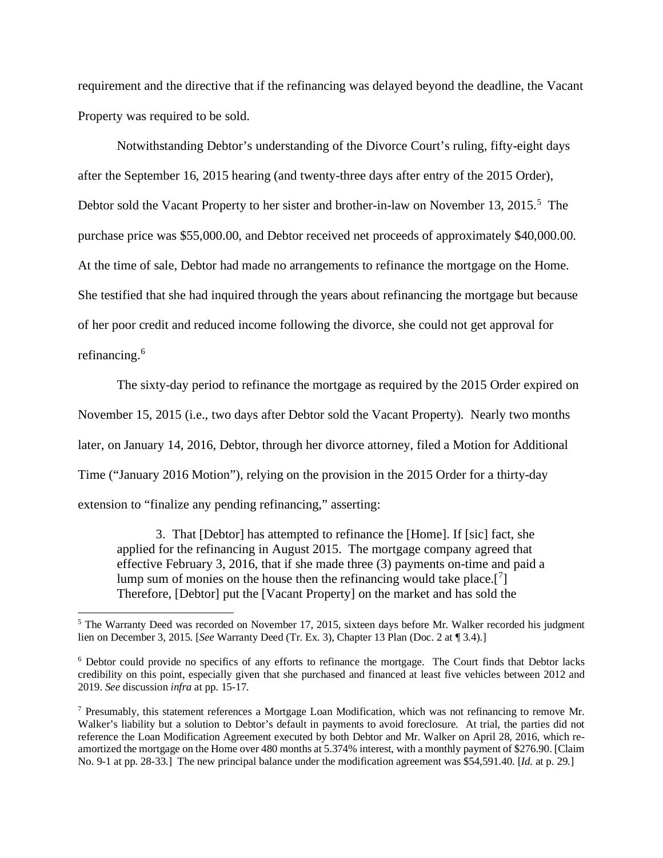requirement and the directive that if the refinancing was delayed beyond the deadline, the Vacant Property was required to be sold.

Notwithstanding Debtor's understanding of the Divorce Court's ruling, fifty-eight days after the September 16, 2015 hearing (and twenty-three days after entry of the 2015 Order), Debtor sold the Vacant Property to her sister and brother-in-law on November 13, 201[5](#page-5-0).<sup>5</sup> The purchase price was \$55,000.00, and Debtor received net proceeds of approximately \$40,000.00. At the time of sale, Debtor had made no arrangements to refinance the mortgage on the Home. She testified that she had inquired through the years about refinancing the mortgage but because of her poor credit and reduced income following the divorce, she could not get approval for refinancing.<sup>[6](#page-5-1)</sup>

The sixty-day period to refinance the mortgage as required by the 2015 Order expired on November 15, 2015 (i.e., two days after Debtor sold the Vacant Property). Nearly two months later, on January 14, 2016, Debtor, through her divorce attorney, filed a Motion for Additional Time ("January 2016 Motion"), relying on the provision in the 2015 Order for a thirty-day extension to "finalize any pending refinancing," asserting:

3. That [Debtor] has attempted to refinance the [Home]. If [sic] fact, she applied for the refinancing in August 2015. The mortgage company agreed that effective February 3, 2016, that if she made three (3) payments on-time and paid a lump sum of monies on the house then the refinancing would take place.<sup>[[7](#page-5-2)]</sup> Therefore, [Debtor] put the [Vacant Property] on the market and has sold the

<span id="page-5-0"></span><sup>&</sup>lt;sup>5</sup> The Warranty Deed was recorded on November 17, 2015, sixteen days before Mr. Walker recorded his judgment lien on December 3, 2015. [*See* Warranty Deed (Tr. Ex. 3), Chapter 13 Plan (Doc. 2 at ¶ 3.4).]

<span id="page-5-1"></span><sup>6</sup> Debtor could provide no specifics of any efforts to refinance the mortgage. The Court finds that Debtor lacks credibility on this point, especially given that she purchased and financed at least five vehicles between 2012 and 2019. *See* discussion *infra* at pp. 15-17.

<span id="page-5-2"></span><sup>7</sup> Presumably, this statement references a Mortgage Loan Modification, which was not refinancing to remove Mr. Walker's liability but a solution to Debtor's default in payments to avoid foreclosure. At trial, the parties did not reference the Loan Modification Agreement executed by both Debtor and Mr. Walker on April 28, 2016, which reamortized the mortgage on the Home over 480 months at 5.374% interest, with a monthly payment of \$276.90. [Claim No. 9-1 at pp. 28-33.] The new principal balance under the modification agreement was \$54,591.40. [*Id.* at p. 29.]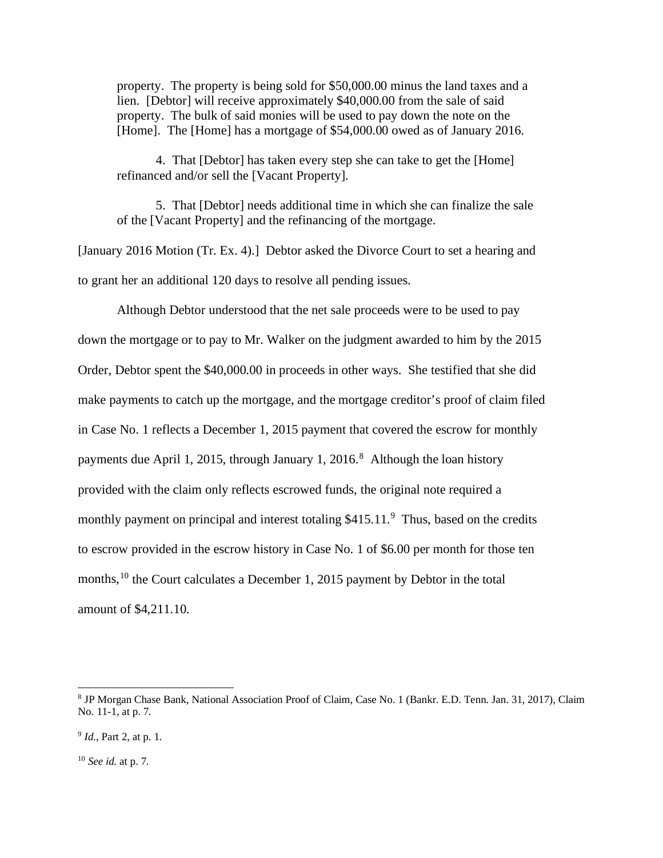property. The property is being sold for \$50,000.00 minus the land taxes and a lien. [Debtor] will receive approximately \$40,000.00 from the sale of said property. The bulk of said monies will be used to pay down the note on the [Home]. The [Home] has a mortgage of \$54,000.00 owed as of January 2016.

4. That [Debtor] has taken every step she can take to get the [Home] refinanced and/or sell the [Vacant Property].

5. That [Debtor] needs additional time in which she can finalize the sale of the [Vacant Property] and the refinancing of the mortgage.

[January 2016 Motion (Tr. Ex. 4).] Debtor asked the Divorce Court to set a hearing and to grant her an additional 120 days to resolve all pending issues.

Although Debtor understood that the net sale proceeds were to be used to pay down the mortgage or to pay to Mr. Walker on the judgment awarded to him by the 2015 Order, Debtor spent the \$40,000.00 in proceeds in other ways. She testified that she did make payments to catch up the mortgage, and the mortgage creditor's proof of claim filed in Case No. 1 reflects a December 1, 2015 payment that covered the escrow for monthly payments due April 1, 2015, through January 1, 2016.<sup>[8](#page-6-0)</sup> Although the loan history provided with the claim only reflects escrowed funds, the original note required a monthly payment on principal and interest totaling \$415.11.<sup>[9](#page-6-1)</sup> Thus, based on the credits to escrow provided in the escrow history in Case No. 1 of \$6.00 per month for those ten months,<sup>[10](#page-6-2)</sup> the Court calculates a December 1, 2015 payment by Debtor in the total amount of \$4,211.10.

<span id="page-6-0"></span><sup>8</sup> JP Morgan Chase Bank, National Association Proof of Claim, Case No. 1 (Bankr. E.D. Tenn. Jan. 31, 2017), Claim No. 11-1, at p. 7.

<span id="page-6-1"></span><sup>9</sup> *Id.*, Part 2, at p. 1.

<span id="page-6-2"></span><sup>10</sup> *See id.* at p. 7.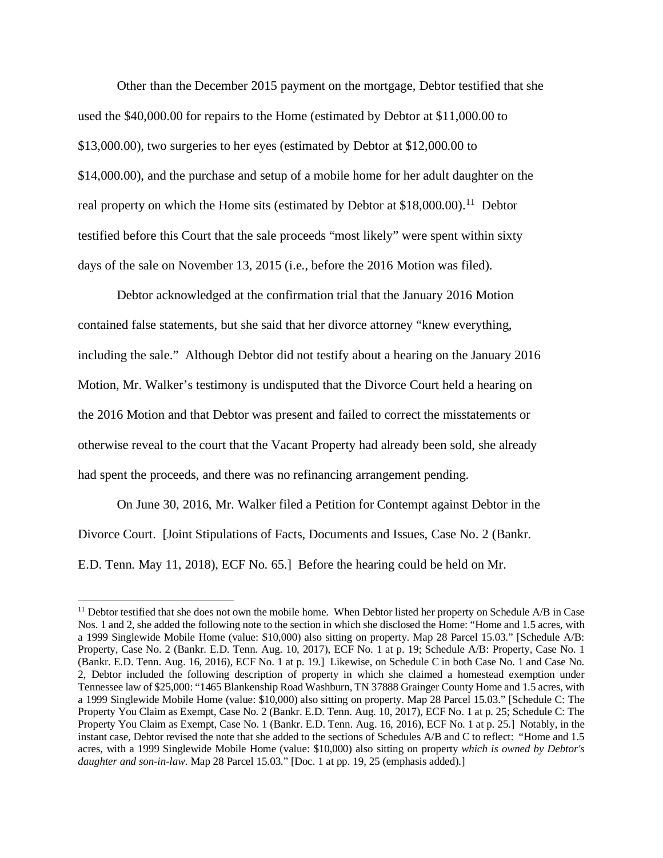Other than the December 2015 payment on the mortgage, Debtor testified that she used the \$40,000.00 for repairs to the Home (estimated by Debtor at \$11,000.00 to \$13,000.00), two surgeries to her eyes (estimated by Debtor at \$12,000.00 to \$14,000.00), and the purchase and setup of a mobile home for her adult daughter on the real property on which the Home sits (estimated by Debtor at  $$18,000.00$ ).<sup>11</sup> Debtor testified before this Court that the sale proceeds "most likely" were spent within sixty days of the sale on November 13, 2015 (i.e., before the 2016 Motion was filed).

Debtor acknowledged at the confirmation trial that the January 2016 Motion contained false statements, but she said that her divorce attorney "knew everything, including the sale." Although Debtor did not testify about a hearing on the January 2016 Motion, Mr. Walker's testimony is undisputed that the Divorce Court held a hearing on the 2016 Motion and that Debtor was present and failed to correct the misstatements or otherwise reveal to the court that the Vacant Property had already been sold, she already had spent the proceeds, and there was no refinancing arrangement pending.

On June 30, 2016, Mr. Walker filed a Petition for Contempt against Debtor in the Divorce Court. [Joint Stipulations of Facts, Documents and Issues, Case No. 2 (Bankr. E.D. Tenn. May 11, 2018), ECF No. 65.] Before the hearing could be held on Mr.

<span id="page-7-0"></span><sup>&</sup>lt;sup>11</sup> Debtor testified that she does not own the mobile home. When Debtor listed her property on Schedule A/B in Case Nos. 1 and 2, she added the following note to the section in which she disclosed the Home: "Home and 1.5 acres, with a 1999 Singlewide Mobile Home (value: \$10,000) also sitting on property. Map 28 Parcel 15.03." [Schedule A/B: Property, Case No. 2 (Bankr. E.D. Tenn. Aug. 10, 2017), ECF No. 1 at p. 19; Schedule A/B: Property, Case No. 1 (Bankr. E.D. Tenn. Aug. 16, 2016), ECF No. 1 at p. 19.] Likewise, on Schedule C in both Case No. 1 and Case No. 2, Debtor included the following description of property in which she claimed a homestead exemption under Tennessee law of \$25,000: "1465 Blankenship Road Washburn, TN 37888 Grainger County Home and 1.5 acres, with a 1999 Singlewide Mobile Home (value: \$10,000) also sitting on property. Map 28 Parcel 15.03." [Schedule C: The Property You Claim as Exempt, Case No. 2 (Bankr. E.D. Tenn. Aug. 10, 2017), ECF No. 1 at p. 25; Schedule C: The Property You Claim as Exempt, Case No. 1 (Bankr. E.D. Tenn. Aug. 16, 2016), ECF No. 1 at p. 25.] Notably, in the instant case, Debtor revised the note that she added to the sections of Schedules A/B and C to reflect: "Home and 1.5 acres, with a 1999 Singlewide Mobile Home (value: \$10,000) also sitting on property *which is owned by Debtor's daughter and son-in-law*. Map 28 Parcel 15.03." [Doc. 1 at pp. 19, 25 (emphasis added).]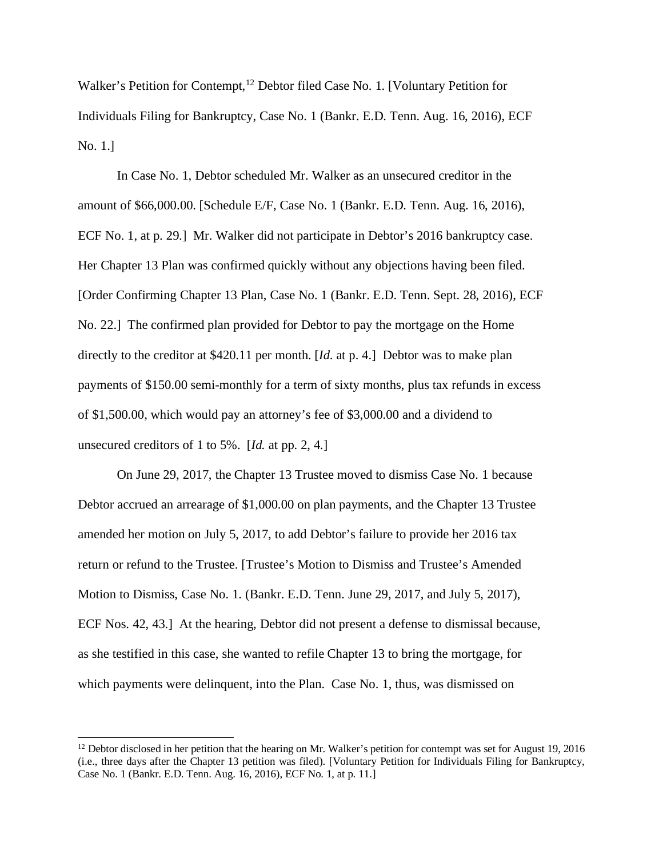Walker's Petition for Contempt,<sup>[12](#page-8-0)</sup> Debtor filed Case No. 1. [Voluntary Petition for Individuals Filing for Bankruptcy, Case No. 1 (Bankr. E.D. Tenn. Aug. 16, 2016), ECF No. 1.]

In Case No. 1, Debtor scheduled Mr. Walker as an unsecured creditor in the amount of \$66,000.00. [Schedule E/F, Case No. 1 (Bankr. E.D. Tenn. Aug. 16, 2016), ECF No. 1, at p. 29.] Mr. Walker did not participate in Debtor's 2016 bankruptcy case. Her Chapter 13 Plan was confirmed quickly without any objections having been filed. [Order Confirming Chapter 13 Plan, Case No. 1 (Bankr. E.D. Tenn. Sept. 28, 2016), ECF No. 22.] The confirmed plan provided for Debtor to pay the mortgage on the Home directly to the creditor at \$420.11 per month. [*Id.* at p. 4.] Debtor was to make plan payments of \$150.00 semi-monthly for a term of sixty months, plus tax refunds in excess of \$1,500.00, which would pay an attorney's fee of \$3,000.00 and a dividend to unsecured creditors of 1 to 5%. [*Id.* at pp. 2, 4.]

On June 29, 2017, the Chapter 13 Trustee moved to dismiss Case No. 1 because Debtor accrued an arrearage of \$1,000.00 on plan payments, and the Chapter 13 Trustee amended her motion on July 5, 2017, to add Debtor's failure to provide her 2016 tax return or refund to the Trustee. [Trustee's Motion to Dismiss and Trustee's Amended Motion to Dismiss, Case No. 1. (Bankr. E.D. Tenn. June 29, 2017, and July 5, 2017), ECF Nos. 42, 43.] At the hearing, Debtor did not present a defense to dismissal because, as she testified in this case, she wanted to refile Chapter 13 to bring the mortgage, for which payments were delinquent, into the Plan. Case No. 1, thus, was dismissed on

<span id="page-8-0"></span> $12$  Debtor disclosed in her petition that the hearing on Mr. Walker's petition for contempt was set for August 19, 2016 (i.e., three days after the Chapter 13 petition was filed). [Voluntary Petition for Individuals Filing for Bankruptcy, Case No. 1 (Bankr. E.D. Tenn. Aug. 16, 2016), ECF No. 1, at p. 11.]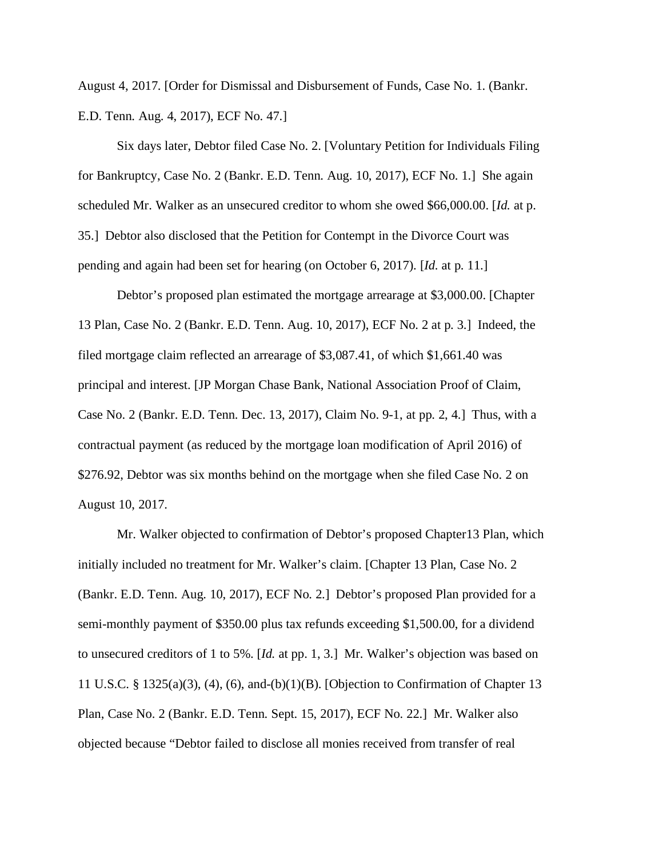August 4, 2017. [Order for Dismissal and Disbursement of Funds, Case No. 1. (Bankr. E.D. Tenn. Aug. 4, 2017), ECF No. 47.]

Six days later, Debtor filed Case No. 2. [Voluntary Petition for Individuals Filing for Bankruptcy, Case No. 2 (Bankr. E.D. Tenn. Aug. 10, 2017), ECF No. 1.] She again scheduled Mr. Walker as an unsecured creditor to whom she owed \$66,000.00. [*Id.* at p. 35.] Debtor also disclosed that the Petition for Contempt in the Divorce Court was pending and again had been set for hearing (on October 6, 2017). [*Id.* at p. 11.]

Debtor's proposed plan estimated the mortgage arrearage at \$3,000.00. [Chapter 13 Plan, Case No. 2 (Bankr. E.D. Tenn. Aug. 10, 2017), ECF No. 2 at p. 3.] Indeed, the filed mortgage claim reflected an arrearage of \$3,087.41, of which \$1,661.40 was principal and interest. [JP Morgan Chase Bank, National Association Proof of Claim, Case No. 2 (Bankr. E.D. Tenn. Dec. 13, 2017), Claim No. 9-1, at pp. 2, 4.] Thus, with a contractual payment (as reduced by the mortgage loan modification of April 2016) of \$276.92, Debtor was six months behind on the mortgage when she filed Case No. 2 on August 10, 2017.

Mr. Walker objected to confirmation of Debtor's proposed Chapter13 Plan, which initially included no treatment for Mr. Walker's claim. [Chapter 13 Plan, Case No. 2 (Bankr. E.D. Tenn. Aug. 10, 2017), ECF No. 2.] Debtor's proposed Plan provided for a semi-monthly payment of \$350.00 plus tax refunds exceeding \$1,500.00, for a dividend to unsecured creditors of 1 to 5%. [*Id.* at pp. 1, 3.] Mr. Walker's objection was based on 11 U.S.C. § 1325(a)(3), (4), (6), and-(b)(1)(B). [Objection to Confirmation of Chapter 13 Plan, Case No. 2 (Bankr. E.D. Tenn. Sept. 15, 2017), ECF No. 22.] Mr. Walker also objected because "Debtor failed to disclose all monies received from transfer of real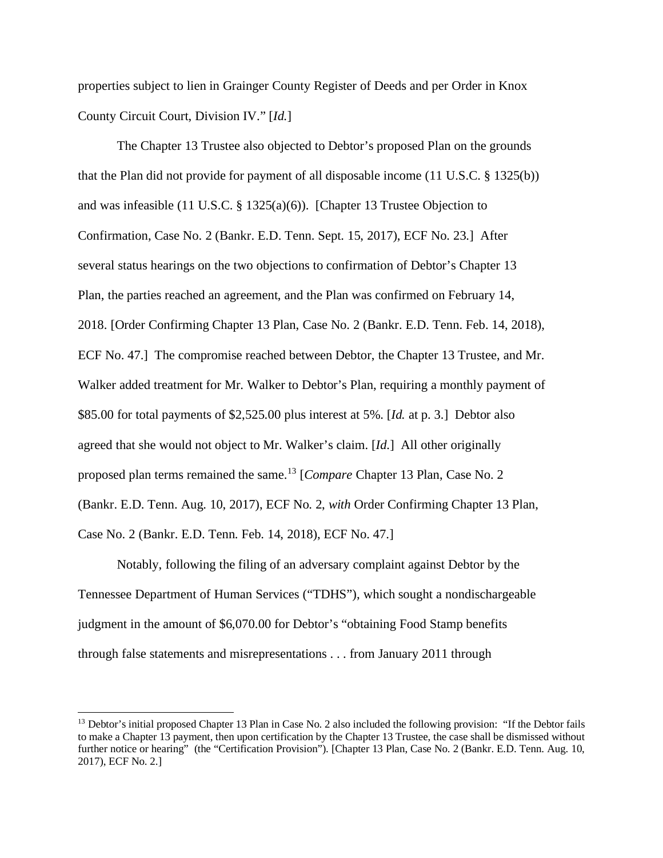properties subject to lien in Grainger County Register of Deeds and per Order in Knox County Circuit Court, Division IV." [*Id.*]

The Chapter 13 Trustee also objected to Debtor's proposed Plan on the grounds that the Plan did not provide for payment of all disposable income (11 U.S.C. § 1325(b)) and was infeasible (11 U.S.C. § 1325(a)(6)). [Chapter 13 Trustee Objection to Confirmation, Case No. 2 (Bankr. E.D. Tenn. Sept. 15, 2017), ECF No. 23.] After several status hearings on the two objections to confirmation of Debtor's Chapter 13 Plan, the parties reached an agreement, and the Plan was confirmed on February 14, 2018. [Order Confirming Chapter 13 Plan, Case No. 2 (Bankr. E.D. Tenn. Feb. 14, 2018), ECF No. 47.] The compromise reached between Debtor, the Chapter 13 Trustee, and Mr. Walker added treatment for Mr. Walker to Debtor's Plan, requiring a monthly payment of \$85.00 for total payments of \$2,525.00 plus interest at 5%. [*Id.* at p. 3.] Debtor also agreed that she would not object to Mr. Walker's claim. [*Id.*] All other originally proposed plan terms remained the same.[13](#page-10-0) [*Compare* Chapter 13 Plan, Case No. 2 (Bankr. E.D. Tenn. Aug. 10, 2017), ECF No. 2, *with* Order Confirming Chapter 13 Plan, Case No. 2 (Bankr. E.D. Tenn. Feb. 14, 2018), ECF No. 47.]

Notably, following the filing of an adversary complaint against Debtor by the Tennessee Department of Human Services ("TDHS"), which sought a nondischargeable judgment in the amount of \$6,070.00 for Debtor's "obtaining Food Stamp benefits through false statements and misrepresentations . . . from January 2011 through

<span id="page-10-0"></span><sup>&</sup>lt;sup>13</sup> Debtor's initial proposed Chapter 13 Plan in Case No. 2 also included the following provision: "If the Debtor fails to make a Chapter 13 payment, then upon certification by the Chapter 13 Trustee, the case shall be dismissed without further notice or hearing" (the "Certification Provision"). [Chapter 13 Plan, Case No. 2 (Bankr. E.D. Tenn. Aug. 10, 2017), ECF No. 2.]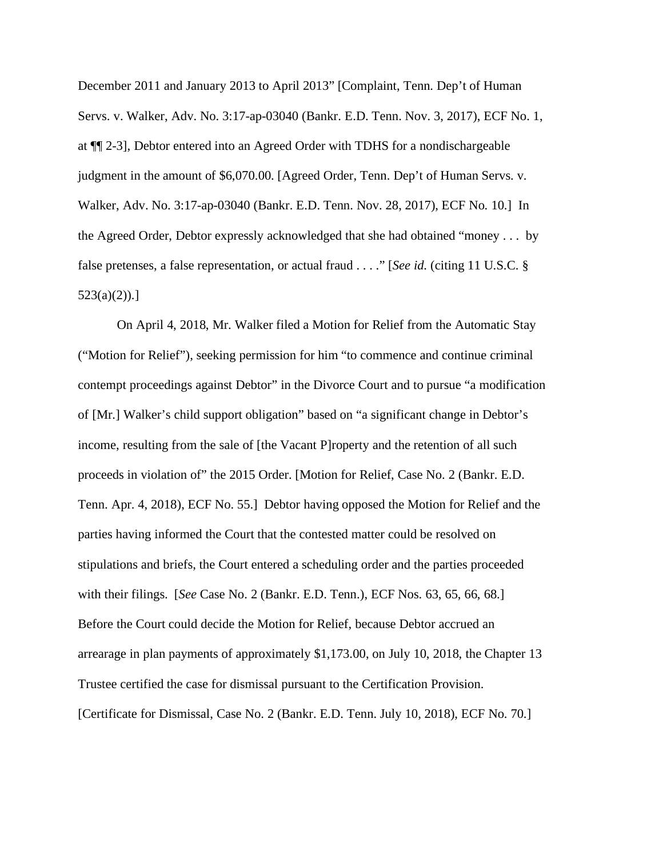December 2011 and January 2013 to April 2013" [Complaint, Tenn. Dep't of Human Servs. v. Walker, Adv. No. 3:17-ap-03040 (Bankr. E.D. Tenn. Nov. 3, 2017), ECF No. 1, at ¶¶ 2-3], Debtor entered into an Agreed Order with TDHS for a nondischargeable judgment in the amount of \$6,070.00. [Agreed Order, Tenn. Dep't of Human Servs. v. Walker, Adv. No. 3:17-ap-03040 (Bankr. E.D. Tenn. Nov. 28, 2017), ECF No. 10.] In the Agreed Order, Debtor expressly acknowledged that she had obtained "money . . . by false pretenses, a false representation, or actual fraud . . . ." [*See id.* (citing 11 U.S.C. § 523(a)(2)).]

On April 4, 2018, Mr. Walker filed a Motion for Relief from the Automatic Stay ("Motion for Relief"), seeking permission for him "to commence and continue criminal contempt proceedings against Debtor" in the Divorce Court and to pursue "a modification of [Mr.] Walker's child support obligation" based on "a significant change in Debtor's income, resulting from the sale of [the Vacant P]roperty and the retention of all such proceeds in violation of" the 2015 Order. [Motion for Relief, Case No. 2 (Bankr. E.D. Tenn. Apr. 4, 2018), ECF No. 55.] Debtor having opposed the Motion for Relief and the parties having informed the Court that the contested matter could be resolved on stipulations and briefs, the Court entered a scheduling order and the parties proceeded with their filings. [*See* Case No. 2 (Bankr. E.D. Tenn.), ECF Nos. 63, 65, 66, 68.] Before the Court could decide the Motion for Relief, because Debtor accrued an arrearage in plan payments of approximately \$1,173.00, on July 10, 2018, the Chapter 13 Trustee certified the case for dismissal pursuant to the Certification Provision. [Certificate for Dismissal, Case No. 2 (Bankr. E.D. Tenn. July 10, 2018), ECF No. 70.]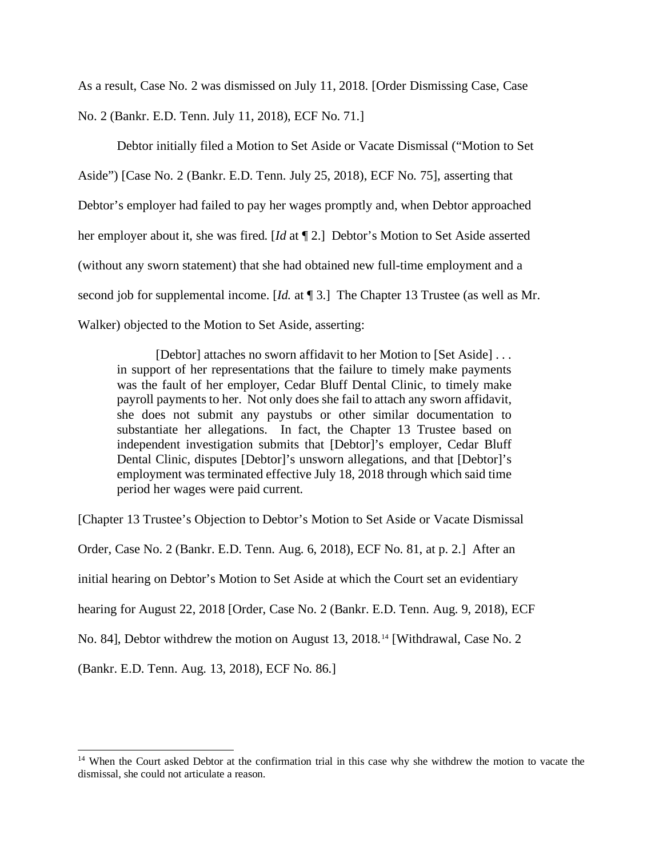As a result, Case No. 2 was dismissed on July 11, 2018. [Order Dismissing Case, Case No. 2 (Bankr. E.D. Tenn. July 11, 2018), ECF No. 71.]

Debtor initially filed a Motion to Set Aside or Vacate Dismissal ("Motion to Set Aside") [Case No. 2 (Bankr. E.D. Tenn. July 25, 2018), ECF No. 75], asserting that Debtor's employer had failed to pay her wages promptly and, when Debtor approached her employer about it, she was fired. [*Id* at ¶ 2.] Debtor's Motion to Set Aside asserted (without any sworn statement) that she had obtained new full-time employment and a second job for supplemental income. [*Id.* at ¶ 3.] The Chapter 13 Trustee (as well as Mr. Walker) objected to the Motion to Set Aside, asserting:

[Debtor] attaches no sworn affidavit to her Motion to [Set Aside] . . . in support of her representations that the failure to timely make payments was the fault of her employer, Cedar Bluff Dental Clinic, to timely make payroll payments to her. Not only does she fail to attach any sworn affidavit, she does not submit any paystubs or other similar documentation to substantiate her allegations. In fact, the Chapter 13 Trustee based on independent investigation submits that [Debtor]'s employer, Cedar Bluff Dental Clinic, disputes [Debtor]'s unsworn allegations, and that [Debtor]'s employment was terminated effective July 18, 2018 through which said time period her wages were paid current.

[Chapter 13 Trustee's Objection to Debtor's Motion to Set Aside or Vacate Dismissal

Order, Case No. 2 (Bankr. E.D. Tenn. Aug. 6, 2018), ECF No. 81, at p. 2.] After an

initial hearing on Debtor's Motion to Set Aside at which the Court set an evidentiary

hearing for August 22, 2018 [Order, Case No. 2 (Bankr. E.D. Tenn. Aug. 9, 2018), ECF

No. 84], Debtor withdrew the motion on August 13, 2018.[14](#page-12-0) [Withdrawal, Case No. 2

(Bankr. E.D. Tenn. Aug. 13, 2018), ECF No. 86.]

<span id="page-12-0"></span><sup>&</sup>lt;sup>14</sup> When the Court asked Debtor at the confirmation trial in this case why she withdrew the motion to vacate the dismissal, she could not articulate a reason.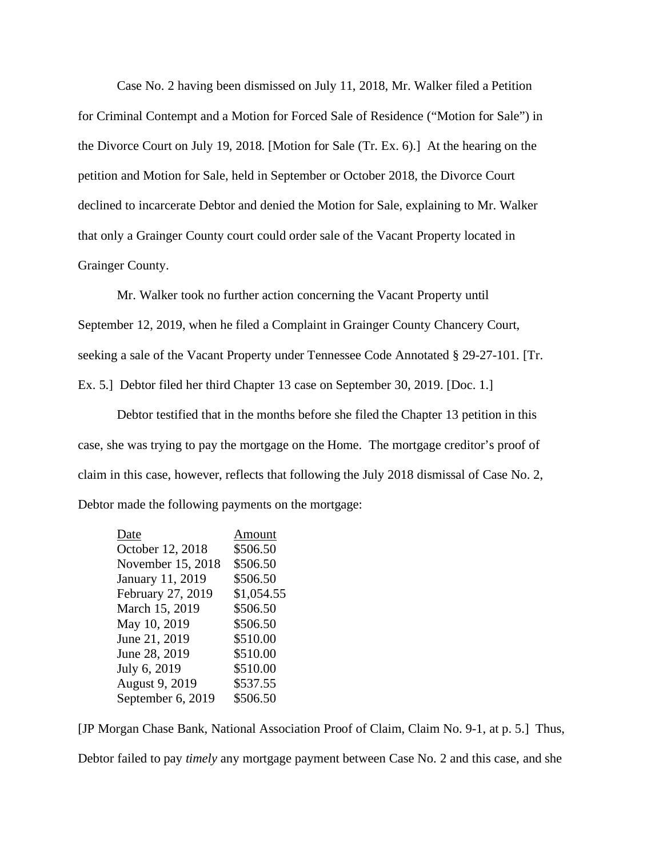Case No. 2 having been dismissed on July 11, 2018, Mr. Walker filed a Petition for Criminal Contempt and a Motion for Forced Sale of Residence ("Motion for Sale") in the Divorce Court on July 19, 2018. [Motion for Sale (Tr. Ex. 6).] At the hearing on the petition and Motion for Sale, held in September or October 2018, the Divorce Court declined to incarcerate Debtor and denied the Motion for Sale, explaining to Mr. Walker that only a Grainger County court could order sale of the Vacant Property located in Grainger County.

Mr. Walker took no further action concerning the Vacant Property until September 12, 2019, when he filed a Complaint in Grainger County Chancery Court, seeking a sale of the Vacant Property under Tennessee Code Annotated § 29-27-101. [Tr. Ex. 5.] Debtor filed her third Chapter 13 case on September 30, 2019. [Doc. 1.]

Debtor testified that in the months before she filed the Chapter 13 petition in this case, she was trying to pay the mortgage on the Home. The mortgage creditor's proof of claim in this case, however, reflects that following the July 2018 dismissal of Case No. 2, Debtor made the following payments on the mortgage:

| Date              | Amount     |
|-------------------|------------|
| October 12, 2018  | \$506.50   |
| November 15, 2018 | \$506.50   |
| January 11, 2019  | \$506.50   |
| February 27, 2019 | \$1,054.55 |
| March 15, 2019    | \$506.50   |
| May 10, 2019      | \$506.50   |
| June 21, 2019     | \$510.00   |
| June 28, 2019     | \$510.00   |
| July 6, 2019      | \$510.00   |
| August 9, 2019    | \$537.55   |
| September 6, 2019 | \$506.50   |

[JP Morgan Chase Bank, National Association Proof of Claim, Claim No. 9-1, at p. 5.] Thus, Debtor failed to pay *timely* any mortgage payment between Case No. 2 and this case, and she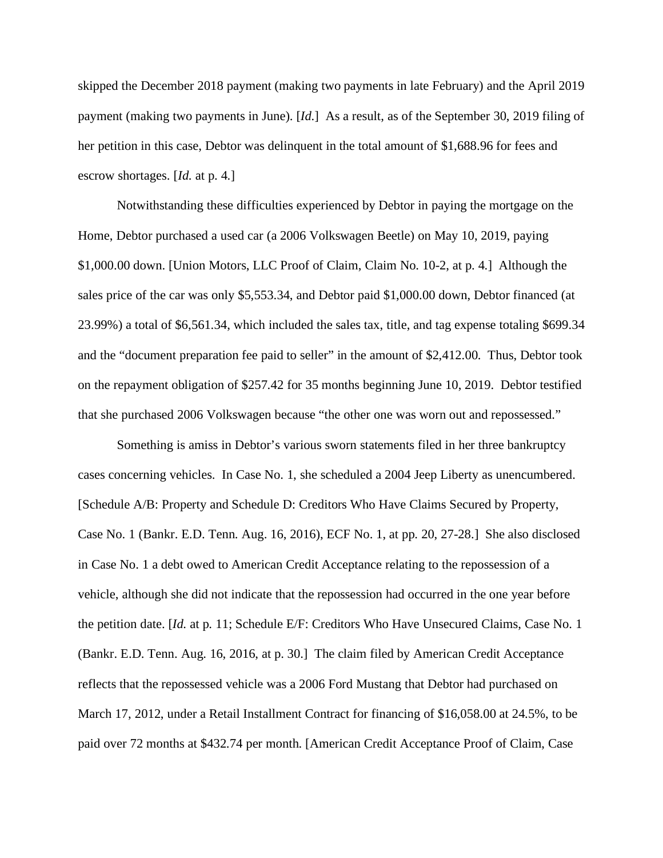skipped the December 2018 payment (making two payments in late February) and the April 2019 payment (making two payments in June). [*Id.*] As a result, as of the September 30, 2019 filing of her petition in this case, Debtor was delinquent in the total amount of \$1,688.96 for fees and escrow shortages. [*Id.* at p. 4.]

Notwithstanding these difficulties experienced by Debtor in paying the mortgage on the Home, Debtor purchased a used car (a 2006 Volkswagen Beetle) on May 10, 2019, paying \$1,000.00 down. [Union Motors, LLC Proof of Claim, Claim No. 10-2, at p. 4.] Although the sales price of the car was only \$5,553.34, and Debtor paid \$1,000.00 down, Debtor financed (at 23.99%) a total of \$6,561.34, which included the sales tax, title, and tag expense totaling \$699.34 and the "document preparation fee paid to seller" in the amount of \$2,412.00. Thus, Debtor took on the repayment obligation of \$257.42 for 35 months beginning June 10, 2019. Debtor testified that she purchased 2006 Volkswagen because "the other one was worn out and repossessed."

Something is amiss in Debtor's various sworn statements filed in her three bankruptcy cases concerning vehicles. In Case No. 1, she scheduled a 2004 Jeep Liberty as unencumbered. [Schedule A/B: Property and Schedule D: Creditors Who Have Claims Secured by Property, Case No. 1 (Bankr. E.D. Tenn. Aug. 16, 2016), ECF No. 1, at pp. 20, 27-28.] She also disclosed in Case No. 1 a debt owed to American Credit Acceptance relating to the repossession of a vehicle, although she did not indicate that the repossession had occurred in the one year before the petition date. [*Id.* at p. 11; Schedule E/F: Creditors Who Have Unsecured Claims, Case No. 1 (Bankr. E.D. Tenn. Aug. 16, 2016, at p. 30.] The claim filed by American Credit Acceptance reflects that the repossessed vehicle was a 2006 Ford Mustang that Debtor had purchased on March 17, 2012, under a Retail Installment Contract for financing of \$16,058.00 at 24.5%, to be paid over 72 months at \$432.74 per month. [American Credit Acceptance Proof of Claim, Case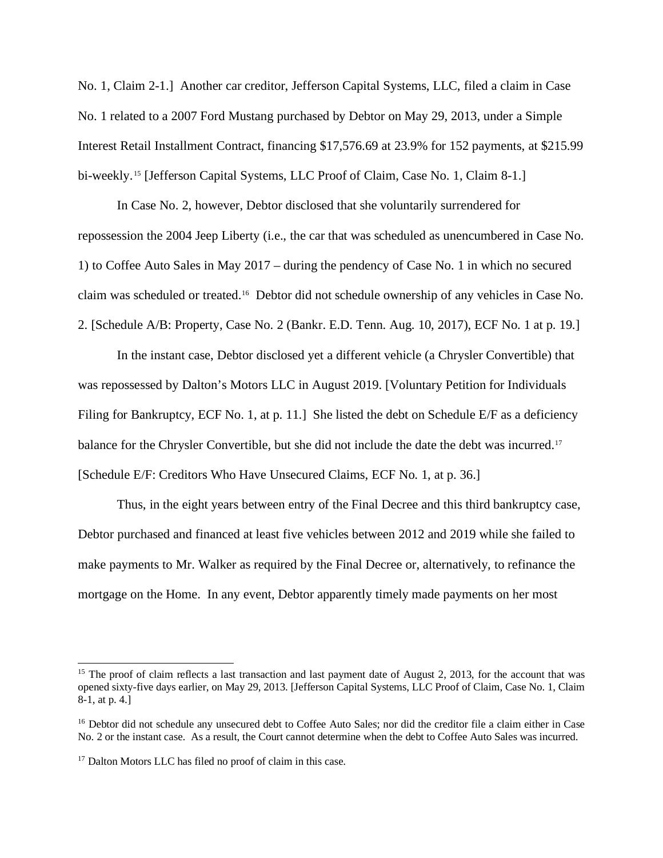No. 1, Claim 2-1.] Another car creditor, Jefferson Capital Systems, LLC, filed a claim in Case No. 1 related to a 2007 Ford Mustang purchased by Debtor on May 29, 2013, under a Simple Interest Retail Installment Contract, financing \$17,576.69 at 23.9% for 152 payments, at \$215.99 bi-weekly.<sup>[15](#page-15-0)</sup> [Jefferson Capital Systems, LLC Proof of Claim, Case No. 1, Claim 8-1.]

In Case No. 2, however, Debtor disclosed that she voluntarily surrendered for repossession the 2004 Jeep Liberty (i.e., the car that was scheduled as unencumbered in Case No. 1) to Coffee Auto Sales in May 2017 – during the pendency of Case No. 1 in which no secured claim was scheduled or treated[.16](#page-15-1) Debtor did not schedule ownership of any vehicles in Case No. 2. [Schedule A/B: Property, Case No. 2 (Bankr. E.D. Tenn. Aug. 10, 2017), ECF No. 1 at p. 19.]

In the instant case, Debtor disclosed yet a different vehicle (a Chrysler Convertible) that was repossessed by Dalton's Motors LLC in August 2019. [Voluntary Petition for Individuals Filing for Bankruptcy, ECF No. 1, at p. 11.] She listed the debt on Schedule E/F as a deficiency balance for the Chrysler Convertible, but she did not include the date the debt was incurred.<sup>[17](#page-15-2)</sup> [Schedule E/F: Creditors Who Have Unsecured Claims, ECF No. 1, at p. 36.]

Thus, in the eight years between entry of the Final Decree and this third bankruptcy case, Debtor purchased and financed at least five vehicles between 2012 and 2019 while she failed to make payments to Mr. Walker as required by the Final Decree or, alternatively, to refinance the mortgage on the Home. In any event, Debtor apparently timely made payments on her most

<span id="page-15-0"></span><sup>&</sup>lt;sup>15</sup> The proof of claim reflects a last transaction and last payment date of August 2, 2013, for the account that was opened sixty-five days earlier, on May 29, 2013. [Jefferson Capital Systems, LLC Proof of Claim, Case No. 1, Claim 8-1, at p. 4.]

<span id="page-15-1"></span><sup>&</sup>lt;sup>16</sup> Debtor did not schedule any unsecured debt to Coffee Auto Sales; nor did the creditor file a claim either in Case No. 2 or the instant case. As a result, the Court cannot determine when the debt to Coffee Auto Sales was incurred.

<span id="page-15-2"></span><sup>&</sup>lt;sup>17</sup> Dalton Motors LLC has filed no proof of claim in this case.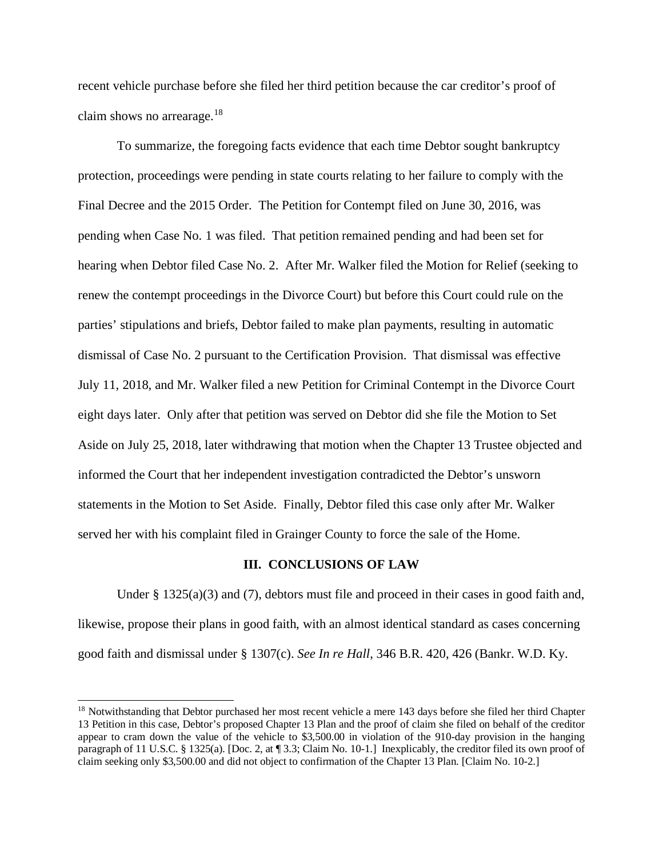recent vehicle purchase before she filed her third petition because the car creditor's proof of claim shows no arrearage.[18](#page-16-0) 

To summarize, the foregoing facts evidence that each time Debtor sought bankruptcy protection, proceedings were pending in state courts relating to her failure to comply with the Final Decree and the 2015 Order. The Petition for Contempt filed on June 30, 2016, was pending when Case No. 1 was filed. That petition remained pending and had been set for hearing when Debtor filed Case No. 2. After Mr. Walker filed the Motion for Relief (seeking to renew the contempt proceedings in the Divorce Court) but before this Court could rule on the parties' stipulations and briefs, Debtor failed to make plan payments, resulting in automatic dismissal of Case No. 2 pursuant to the Certification Provision. That dismissal was effective July 11, 2018, and Mr. Walker filed a new Petition for Criminal Contempt in the Divorce Court eight days later. Only after that petition was served on Debtor did she file the Motion to Set Aside on July 25, 2018, later withdrawing that motion when the Chapter 13 Trustee objected and informed the Court that her independent investigation contradicted the Debtor's unsworn statements in the Motion to Set Aside. Finally, Debtor filed this case only after Mr. Walker served her with his complaint filed in Grainger County to force the sale of the Home.

#### **III. CONCLUSIONS OF LAW**

Under  $\S 1325(a)(3)$  and (7), debtors must file and proceed in their cases in good faith and, likewise, propose their plans in good faith, with an almost identical standard as cases concerning good faith and dismissal under § 1307(c). *See In re Hall*, 346 B.R. 420, 426 (Bankr. W.D. Ky.

<span id="page-16-0"></span><sup>&</sup>lt;sup>18</sup> Notwithstanding that Debtor purchased her most recent vehicle a mere 143 days before she filed her third Chapter 13 Petition in this case, Debtor's proposed Chapter 13 Plan and the proof of claim she filed on behalf of the creditor appear to cram down the value of the vehicle to \$3,500.00 in violation of the 910-day provision in the hanging paragraph of 11 U.S.C. § 1325(a). [Doc. 2, at ¶ 3.3; Claim No. 10-1.] Inexplicably, the creditor filed its own proof of claim seeking only \$3,500.00 and did not object to confirmation of the Chapter 13 Plan. [Claim No. 10-2.]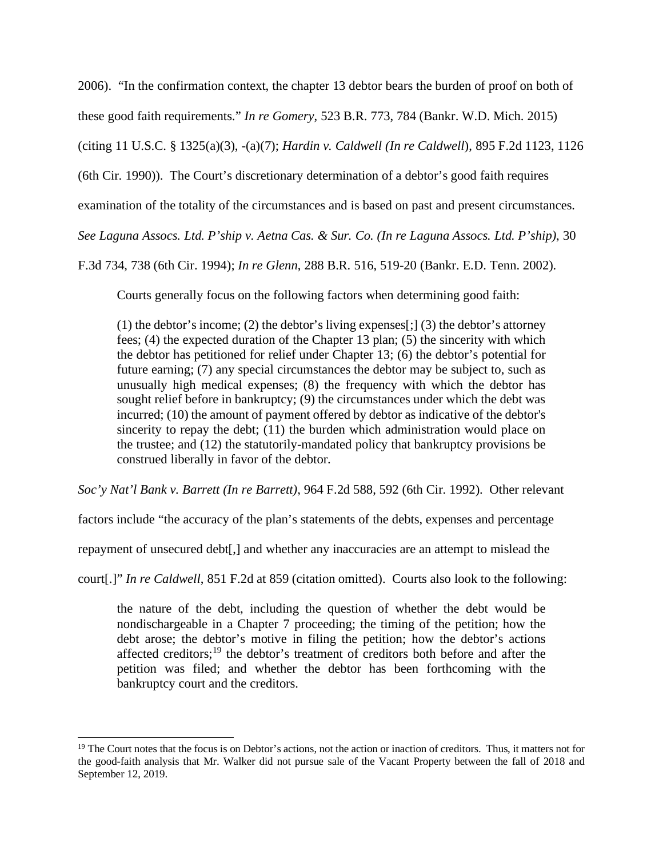2006). "In the confirmation context, the chapter 13 debtor bears the burden of proof on both of these good faith requirements." *In re Gomery*, 523 B.R. 773, 784 (Bankr. W.D. Mich. 2015) (citing 11 U.S.C. § 1325(a)(3), -(a)(7); *Hardin v. Caldwell (In re Caldwell*), 895 F.2d 1123, 1126 (6th Cir. 1990)). The Court's discretionary determination of a debtor's good faith requires examination of the totality of the circumstances and is based on past and present circumstances. *See Laguna Assocs. Ltd. P'ship v. Aetna Cas. & Sur. Co. (In re Laguna Assocs. Ltd. P'ship)*, 30 F.3d 734, 738 (6th Cir. 1994); *In re Glenn*, 288 B.R. 516, 519-20 (Bankr. E.D. Tenn. 2002).

Courts generally focus on the following factors when determining good faith:

(1) the debtor's income; (2) the debtor's living expenses[;] (3) the debtor's attorney fees; (4) the expected duration of the Chapter 13 plan; (5) the sincerity with which the debtor has petitioned for relief under Chapter 13; (6) the debtor's potential for future earning; (7) any special circumstances the debtor may be subject to, such as unusually high medical expenses; (8) the frequency with which the debtor has sought relief before in bankruptcy; (9) the circumstances under which the debt was incurred; (10) the amount of payment offered by debtor as indicative of the debtor's sincerity to repay the debt; (11) the burden which administration would place on the trustee; and (12) the statutorily-mandated policy that bankruptcy provisions be construed liberally in favor of the debtor.

*Soc'y Nat'l Bank v. Barrett (In re Barrett)*, 964 F.2d 588, 592 (6th Cir. 1992). Other relevant

factors include "the accuracy of the plan's statements of the debts, expenses and percentage

repayment of unsecured debt[,] and whether any inaccuracies are an attempt to mislead the

court[.]" *In re Caldwell*, 851 F.2d at 859 (citation omitted). Courts also look to the following:

the nature of the debt, including the question of whether the debt would be nondischargeable in a Chapter 7 proceeding; the timing of the petition; how the debt arose; the debtor's motive in filing the petition; how the debtor's actions affected creditors;<sup>[19](#page-17-0)</sup> the debtor's treatment of creditors both before and after the petition was filed; and whether the debtor has been forthcoming with the bankruptcy court and the creditors.

<span id="page-17-0"></span><sup>&</sup>lt;sup>19</sup> The Court notes that the focus is on Debtor's actions, not the action or inaction of creditors. Thus, it matters not for the good-faith analysis that Mr. Walker did not pursue sale of the Vacant Property between the fall of 2018 and September 12, 2019.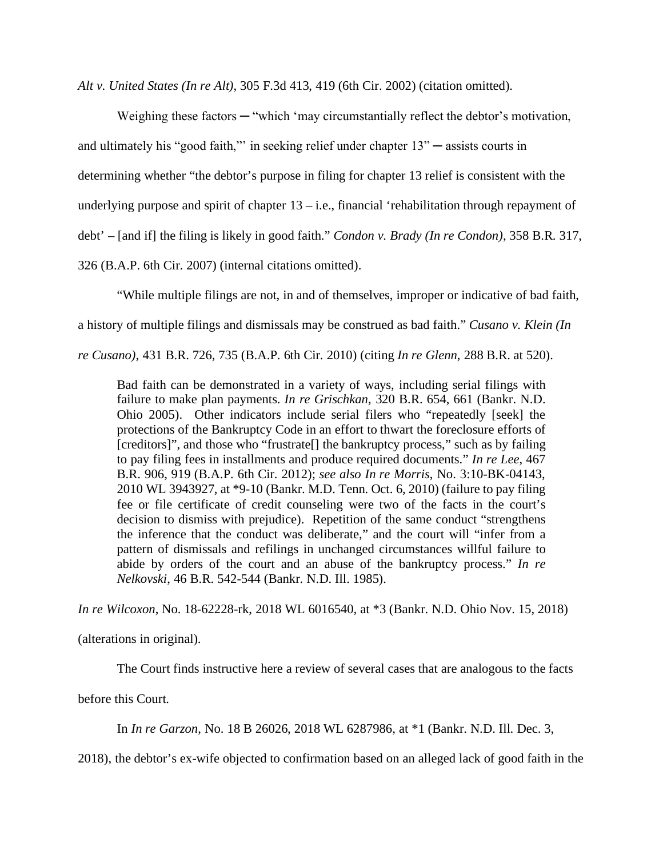*Alt v. United States (In re Alt)*, 305 F.3d 413, 419 (6th Cir. 2002) (citation omitted).

Weighing these factors — "which 'may circumstantially reflect the debtor's motivation, and ultimately his "good faith,"' in seeking relief under chapter 13" ─ assists courts in determining whether "the debtor's purpose in filing for chapter 13 relief is consistent with the underlying purpose and spirit of chapter  $13 - i.e.,$  financial 'rehabilitation through repayment of debt' – [and if] the filing is likely in good faith." *Condon v. Brady (In re Condon)*, 358 B.R. 317, 326 (B.A.P. 6th Cir. 2007) (internal citations omitted).

"While multiple filings are not, in and of themselves, improper or indicative of bad faith,

a history of multiple filings and dismissals may be construed as bad faith." *Cusano v. Klein (In* 

*re Cusano)*, 431 B.R. 726, 735 (B.A.P. 6th Cir. 2010) (citing *In re Glenn*, 288 B.R. at 520).

Bad faith can be demonstrated in a variety of ways, including serial filings with failure to make plan payments. *In re Grischkan*, 320 B.R. 654, 661 (Bankr. N.D. Ohio 2005). Other indicators include serial filers who "repeatedly [seek] the protections of the Bankruptcy Code in an effort to thwart the foreclosure efforts of [creditors]", and those who "frustrate<sup>[]</sup> the bankruptcy process," such as by failing to pay filing fees in installments and produce required documents." *In re Lee*, 467 B.R. 906, 919 (B.A.P. 6th Cir. 2012); *see also In re Morris*, No. 3:10-BK-04143, 2010 WL 3943927, at \*9-10 (Bankr. M.D. Tenn. Oct. 6, 2010) (failure to pay filing fee or file certificate of credit counseling were two of the facts in the court's decision to dismiss with prejudice). Repetition of the same conduct "strengthens the inference that the conduct was deliberate," and the court will "infer from a pattern of dismissals and refilings in unchanged circumstances willful failure to abide by orders of the court and an abuse of the bankruptcy process." *In re Nelkovski*, 46 B.R. 542-544 (Bankr. N.D. Ill. 1985).

*In re Wilcoxon*, No. 18-62228-rk, 2018 WL 6016540, at \*3 (Bankr. N.D. Ohio Nov. 15, 2018)

(alterations in original).

The Court finds instructive here a review of several cases that are analogous to the facts

before this Court.

In *In re Garzon*, No. 18 B 26026, 2018 WL 6287986, at \*1 (Bankr. N.D. Ill. Dec. 3,

2018), the debtor's ex-wife objected to confirmation based on an alleged lack of good faith in the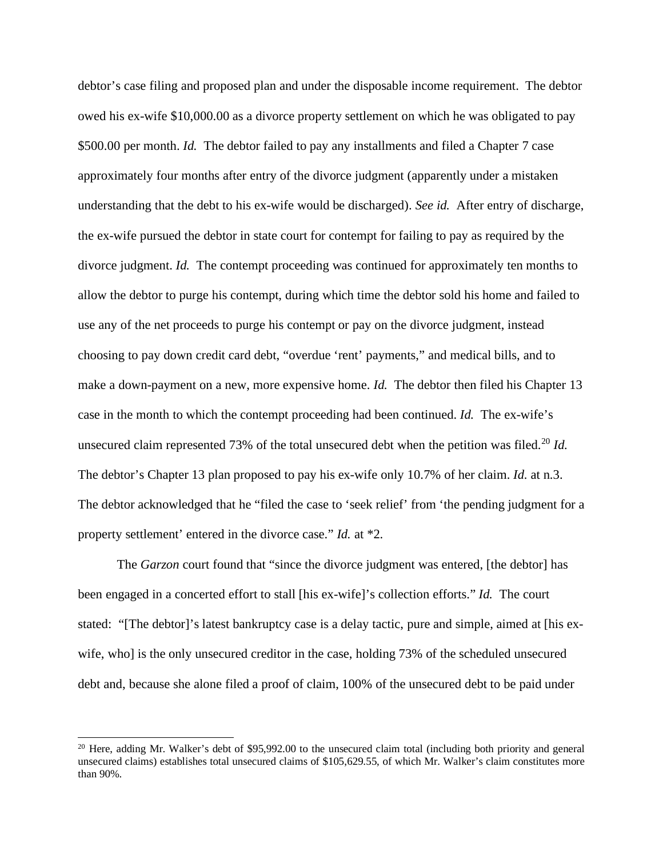debtor's case filing and proposed plan and under the disposable income requirement. The debtor owed his ex-wife \$10,000.00 as a divorce property settlement on which he was obligated to pay \$500.00 per month. *Id.* The debtor failed to pay any installments and filed a Chapter 7 case approximately four months after entry of the divorce judgment (apparently under a mistaken understanding that the debt to his ex-wife would be discharged). *See id.* After entry of discharge, the ex-wife pursued the debtor in state court for contempt for failing to pay as required by the divorce judgment. *Id.* The contempt proceeding was continued for approximately ten months to allow the debtor to purge his contempt, during which time the debtor sold his home and failed to use any of the net proceeds to purge his contempt or pay on the divorce judgment, instead choosing to pay down credit card debt, "overdue 'rent' payments," and medical bills, and to make a down-payment on a new, more expensive home. *Id.* The debtor then filed his Chapter 13 case in the month to which the contempt proceeding had been continued. *Id.* The ex-wife's unsecured claim represented 73% of the total unsecured debt when the petition was filed.<sup>[20](#page-19-0)</sup> *Id.* The debtor's Chapter 13 plan proposed to pay his ex-wife only 10.7% of her claim. *Id.* at n.3. The debtor acknowledged that he "filed the case to 'seek relief' from 'the pending judgment for a property settlement' entered in the divorce case." *Id.* at \*2.

The *Garzon* court found that "since the divorce judgment was entered, [the debtor] has been engaged in a concerted effort to stall [his ex-wife]'s collection efforts." *Id.* The court stated: "[The debtor]'s latest bankruptcy case is a delay tactic, pure and simple, aimed at [his exwife, who] is the only unsecured creditor in the case, holding 73% of the scheduled unsecured debt and, because she alone filed a proof of claim, 100% of the unsecured debt to be paid under

<span id="page-19-0"></span> $20$  Here, adding Mr. Walker's debt of \$95,992.00 to the unsecured claim total (including both priority and general unsecured claims) establishes total unsecured claims of \$105,629.55, of which Mr. Walker's claim constitutes more than 90%.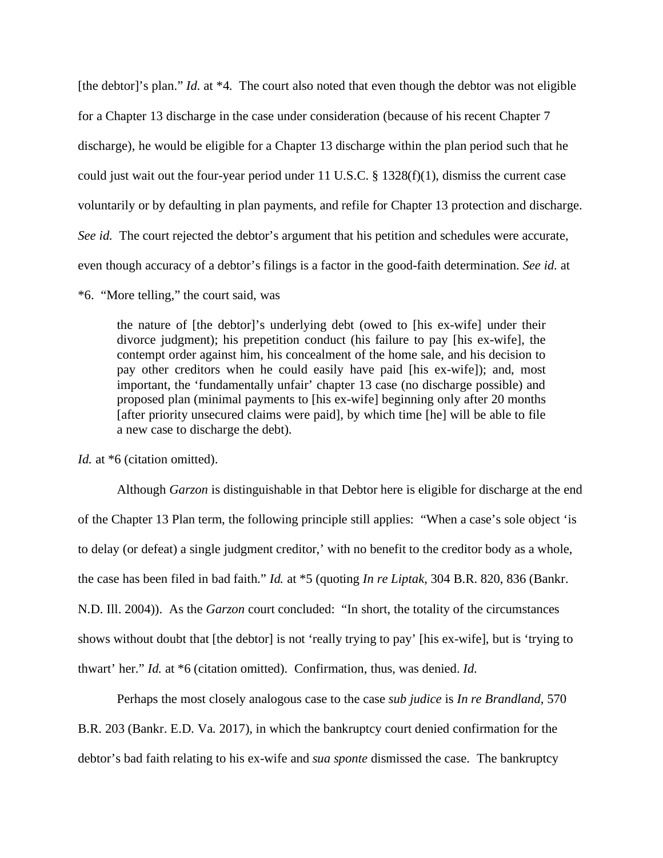[the debtor]'s plan." *Id.* at \*4. The court also noted that even though the debtor was not eligible for a Chapter 13 discharge in the case under consideration (because of his recent Chapter 7 discharge), he would be eligible for a Chapter 13 discharge within the plan period such that he could just wait out the four-year period under 11 U.S.C. § 1328(f)(1), dismiss the current case voluntarily or by defaulting in plan payments, and refile for Chapter 13 protection and discharge. *See id.* The court rejected the debtor's argument that his petition and schedules were accurate, even though accuracy of a debtor's filings is a factor in the good-faith determination. *See id.* at

## \*6. "More telling," the court said, was

the nature of [the debtor]'s underlying debt (owed to [his ex-wife] under their divorce judgment); his prepetition conduct (his failure to pay [his ex-wife], the contempt order against him, his concealment of the home sale, and his decision to pay other creditors when he could easily have paid [his ex-wife]); and, most important, the 'fundamentally unfair' chapter 13 case (no discharge possible) and proposed plan (minimal payments to [his ex-wife] beginning only after 20 months [after priority unsecured claims were paid], by which time [he] will be able to file a new case to discharge the debt).

*Id.* at \*6 (citation omitted).

Although *Garzon* is distinguishable in that Debtor here is eligible for discharge at the end of the Chapter 13 Plan term, the following principle still applies: "When a case's sole object 'is to delay (or defeat) a single judgment creditor,' with no benefit to the creditor body as a whole, the case has been filed in bad faith." *Id.* at \*5 (quoting *In re Liptak*, 304 B.R. 820, 836 (Bankr. N.D. Ill. 2004)). As the *Garzon* court concluded: "In short, the totality of the circumstances shows without doubt that [the debtor] is not 'really trying to pay' [his ex-wife], but is 'trying to thwart' her." *Id.* at \*6 (citation omitted). Confirmation, thus, was denied. *Id.*

Perhaps the most closely analogous case to the case *sub judice* is *In re Brandland*, 570 B.R. 203 (Bankr. E.D. Va. 2017), in which the bankruptcy court denied confirmation for the debtor's bad faith relating to his ex-wife and *sua sponte* dismissed the case. The bankruptcy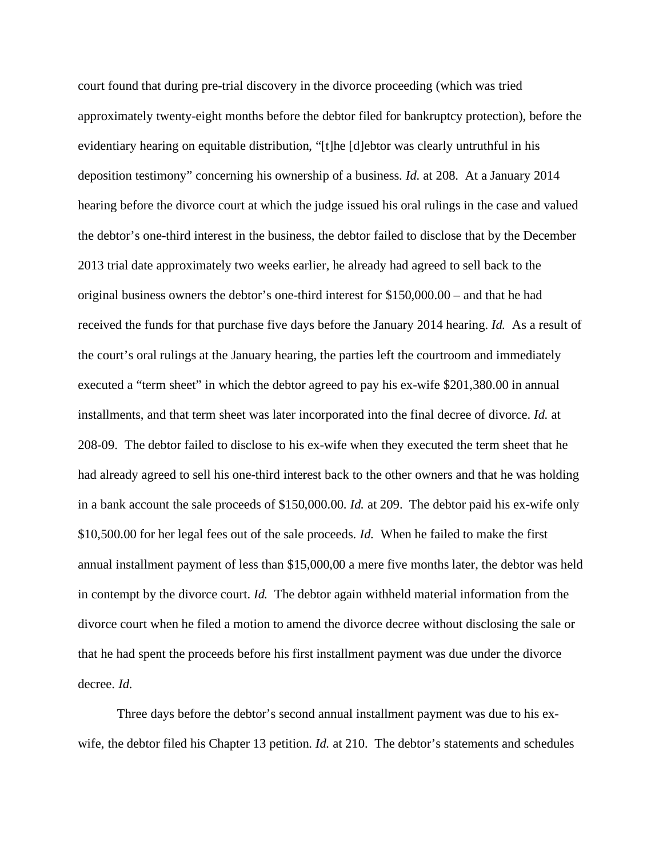court found that during pre-trial discovery in the divorce proceeding (which was tried approximately twenty-eight months before the debtor filed for bankruptcy protection), before the evidentiary hearing on equitable distribution, "[t]he [d]ebtor was clearly untruthful in his deposition testimony" concerning his ownership of a business. *Id.* at 208. At a January 2014 hearing before the divorce court at which the judge issued his oral rulings in the case and valued the debtor's one-third interest in the business, the debtor failed to disclose that by the December 2013 trial date approximately two weeks earlier, he already had agreed to sell back to the original business owners the debtor's one-third interest for \$150,000.00 – and that he had received the funds for that purchase five days before the January 2014 hearing. *Id.* As a result of the court's oral rulings at the January hearing, the parties left the courtroom and immediately executed a "term sheet" in which the debtor agreed to pay his ex-wife \$201,380.00 in annual installments, and that term sheet was later incorporated into the final decree of divorce. *Id.* at 208-09.The debtor failed to disclose to his ex-wife when they executed the term sheet that he had already agreed to sell his one-third interest back to the other owners and that he was holding in a bank account the sale proceeds of \$150,000.00. *Id.* at 209. The debtor paid his ex-wife only \$10,500.00 for her legal fees out of the sale proceeds. *Id.* When he failed to make the first annual installment payment of less than \$15,000,00 a mere five months later, the debtor was held in contempt by the divorce court. *Id.* The debtor again withheld material information from the divorce court when he filed a motion to amend the divorce decree without disclosing the sale or that he had spent the proceeds before his first installment payment was due under the divorce decree. *Id.*

Three days before the debtor's second annual installment payment was due to his exwife, the debtor filed his Chapter 13 petition. *Id.* at 210. The debtor's statements and schedules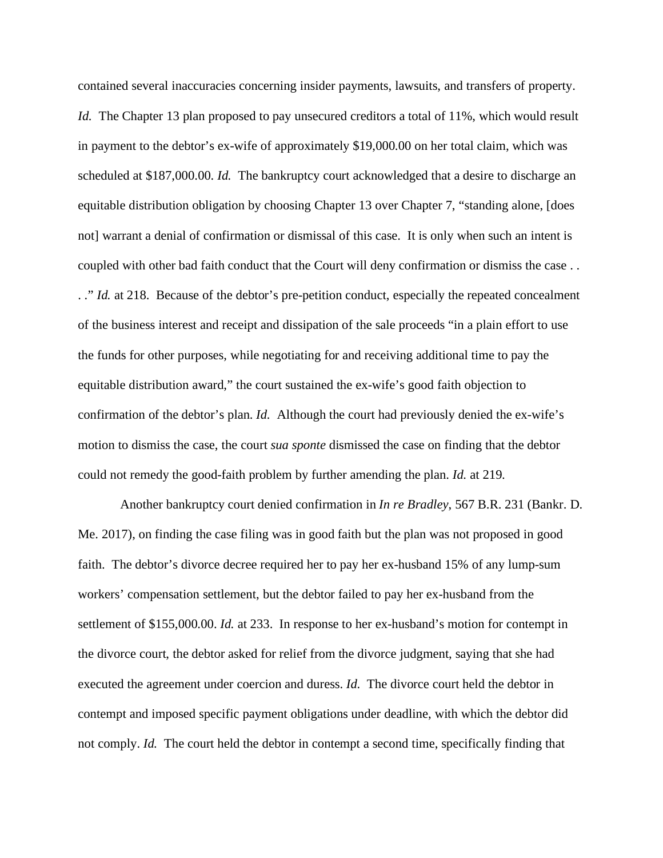contained several inaccuracies concerning insider payments, lawsuits, and transfers of property. *Id.* The Chapter 13 plan proposed to pay unsecured creditors a total of 11%, which would result in payment to the debtor's ex-wife of approximately \$19,000.00 on her total claim, which was scheduled at \$187,000.00. *Id.* The bankruptcy court acknowledged that a desire to discharge an equitable distribution obligation by choosing Chapter 13 over Chapter 7, "standing alone, [does not] warrant a denial of confirmation or dismissal of this case. It is only when such an intent is coupled with other bad faith conduct that the Court will deny confirmation or dismiss the case . . .." *Id.* at 218. Because of the debtor's pre-petition conduct, especially the repeated concealment of the business interest and receipt and dissipation of the sale proceeds "in a plain effort to use the funds for other purposes, while negotiating for and receiving additional time to pay the equitable distribution award," the court sustained the ex-wife's good faith objection to confirmation of the debtor's plan. *Id.* Although the court had previously denied the ex-wife's motion to dismiss the case, the court *sua sponte* dismissed the case on finding that the debtor could not remedy the good-faith problem by further amending the plan. *Id.* at 219.

Another bankruptcy court denied confirmation in *In re Bradley*, 567 B.R. 231 (Bankr. D. Me. 2017), on finding the case filing was in good faith but the plan was not proposed in good faith. The debtor's divorce decree required her to pay her ex-husband 15% of any lump-sum workers' compensation settlement, but the debtor failed to pay her ex-husband from the settlement of \$155,000.00. *Id.* at 233. In response to her ex-husband's motion for contempt in the divorce court, the debtor asked for relief from the divorce judgment, saying that she had executed the agreement under coercion and duress. *Id.* The divorce court held the debtor in contempt and imposed specific payment obligations under deadline, with which the debtor did not comply. *Id.* The court held the debtor in contempt a second time, specifically finding that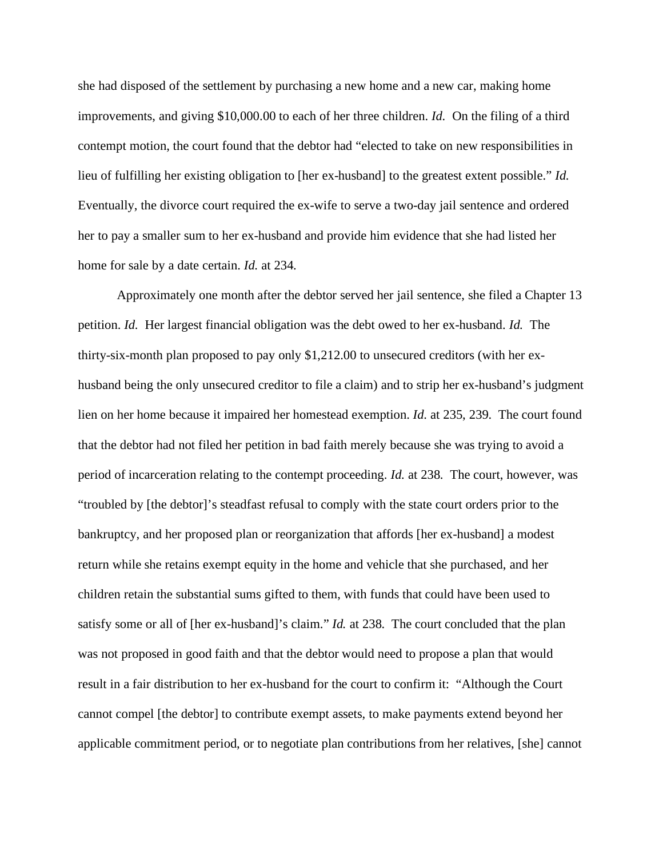she had disposed of the settlement by purchasing a new home and a new car, making home improvements, and giving \$10,000.00 to each of her three children. *Id.* On the filing of a third contempt motion, the court found that the debtor had "elected to take on new responsibilities in lieu of fulfilling her existing obligation to [her ex-husband] to the greatest extent possible." *Id.* Eventually, the divorce court required the ex-wife to serve a two-day jail sentence and ordered her to pay a smaller sum to her ex-husband and provide him evidence that she had listed her home for sale by a date certain. *Id.* at 234.

Approximately one month after the debtor served her jail sentence, she filed a Chapter 13 petition. *Id.* Her largest financial obligation was the debt owed to her ex-husband. *Id.* The thirty-six-month plan proposed to pay only \$1,212.00 to unsecured creditors (with her exhusband being the only unsecured creditor to file a claim) and to strip her ex-husband's judgment lien on her home because it impaired her homestead exemption. *Id.* at 235, 239. The court found that the debtor had not filed her petition in bad faith merely because she was trying to avoid a period of incarceration relating to the contempt proceeding. *Id.* at 238. The court, however, was "troubled by [the debtor]'s steadfast refusal to comply with the state court orders prior to the bankruptcy, and her proposed plan or reorganization that affords [her ex-husband] a modest return while she retains exempt equity in the home and vehicle that she purchased, and her children retain the substantial sums gifted to them, with funds that could have been used to satisfy some or all of [her ex-husband]'s claim." *Id.* at 238. The court concluded that the plan was not proposed in good faith and that the debtor would need to propose a plan that would result in a fair distribution to her ex-husband for the court to confirm it: "Although the Court cannot compel [the debtor] to contribute exempt assets, to make payments extend beyond her applicable commitment period, or to negotiate plan contributions from her relatives, [she] cannot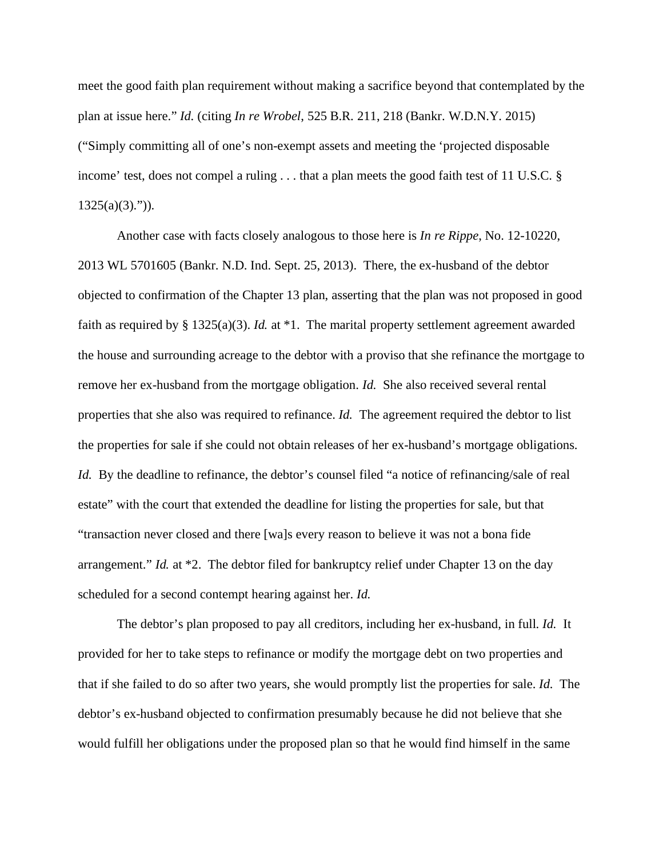meet the good faith plan requirement without making a sacrifice beyond that contemplated by the plan at issue here." *Id.* (citing *In re Wrobel*, 525 B.R. 211, 218 (Bankr. W.D.N.Y. 2015) ("Simply committing all of one's non-exempt assets and meeting the 'projected disposable income' test, does not compel a ruling . . . that a plan meets the good faith test of 11 U.S.C. §  $1325(a)(3)$ .")).

Another case with facts closely analogous to those here is *In re Rippe*, No. 12-10220, 2013 WL 5701605 (Bankr. N.D. Ind. Sept. 25, 2013). There, the ex-husband of the debtor objected to confirmation of the Chapter 13 plan, asserting that the plan was not proposed in good faith as required by § 1325(a)(3). *Id.* at \*1. The marital property settlement agreement awarded the house and surrounding acreage to the debtor with a proviso that she refinance the mortgage to remove her ex-husband from the mortgage obligation. *Id*.She also received several rental properties that she also was required to refinance. *Id.* The agreement required the debtor to list the properties for sale if she could not obtain releases of her ex-husband's mortgage obligations. *Id.* By the deadline to refinance, the debtor's counsel filed "a notice of refinancing/sale of real estate" with the court that extended the deadline for listing the properties for sale, but that "transaction never closed and there [wa]s every reason to believe it was not a bona fide arrangement." *Id.* at \*2. The debtor filed for bankruptcy relief under Chapter 13 on the day scheduled for a second contempt hearing against her. *Id.*

The debtor's plan proposed to pay all creditors, including her ex-husband, in full. *Id.* It provided for her to take steps to refinance or modify the mortgage debt on two properties and that if she failed to do so after two years, she would promptly list the properties for sale. *Id.* The debtor's ex-husband objected to confirmation presumably because he did not believe that she would fulfill her obligations under the proposed plan so that he would find himself in the same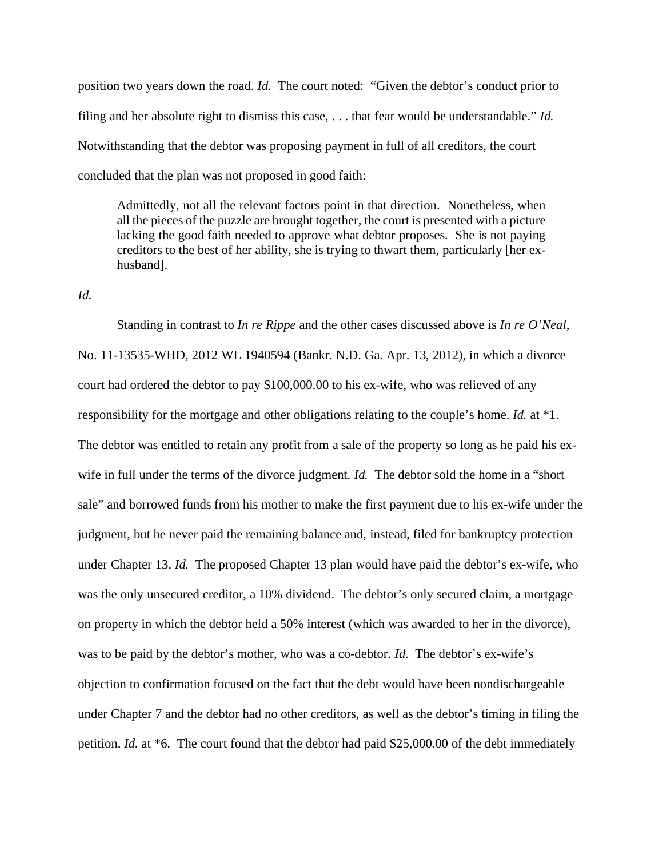position two years down the road. *Id.* The court noted: "Given the debtor's conduct prior to filing and her absolute right to dismiss this case, . . . that fear would be understandable." *Id.* Notwithstanding that the debtor was proposing payment in full of all creditors, the court concluded that the plan was not proposed in good faith:

Admittedly, not all the relevant factors point in that direction. Nonetheless, when all the pieces of the puzzle are brought together, the court is presented with a picture lacking the good faith needed to approve what debtor proposes. She is not paying creditors to the best of her ability, she is trying to thwart them, particularly [her exhusband].

*Id.*

Standing in contrast to *In re Rippe* and the other cases discussed above is *In re O'Neal*, No. 11-13535-WHD, 2012 WL 1940594 (Bankr. N.D. Ga. Apr. 13, 2012), in which a divorce court had ordered the debtor to pay \$100,000.00 to his ex-wife, who was relieved of any responsibility for the mortgage and other obligations relating to the couple's home. *Id.* at \*1. The debtor was entitled to retain any profit from a sale of the property so long as he paid his exwife in full under the terms of the divorce judgment. *Id.* The debtor sold the home in a "short sale" and borrowed funds from his mother to make the first payment due to his ex-wife under the judgment, but he never paid the remaining balance and, instead, filed for bankruptcy protection under Chapter 13. *Id.* The proposed Chapter 13 plan would have paid the debtor's ex-wife, who was the only unsecured creditor, a 10% dividend. The debtor's only secured claim, a mortgage on property in which the debtor held a 50% interest (which was awarded to her in the divorce), was to be paid by the debtor's mother, who was a co-debtor. *Id.* The debtor's ex-wife's objection to confirmation focused on the fact that the debt would have been nondischargeable under Chapter 7 and the debtor had no other creditors, as well as the debtor's timing in filing the petition. *Id.* at \*6. The court found that the debtor had paid \$25,000.00 of the debt immediately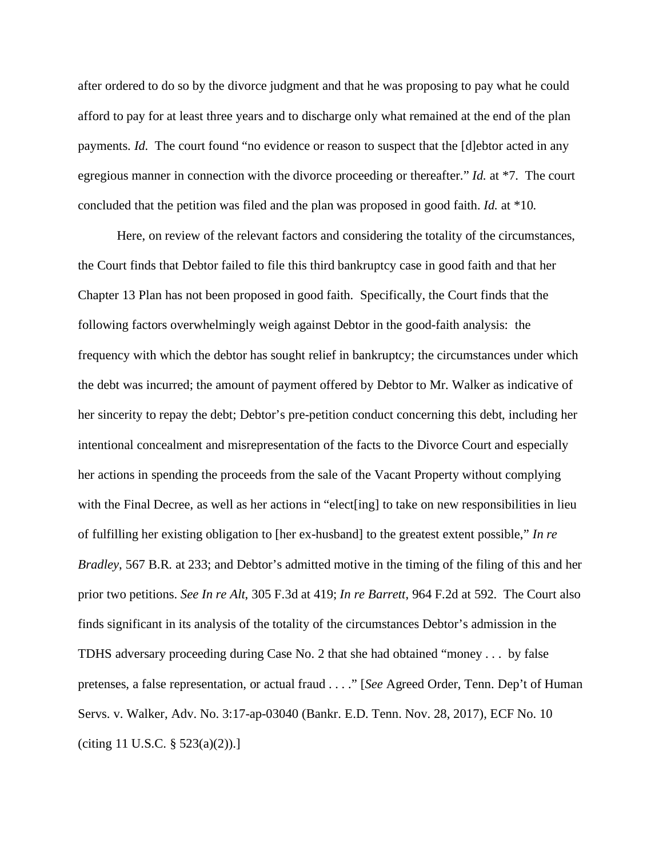after ordered to do so by the divorce judgment and that he was proposing to pay what he could afford to pay for at least three years and to discharge only what remained at the end of the plan payments. *Id.* The court found "no evidence or reason to suspect that the [d]ebtor acted in any egregious manner in connection with the divorce proceeding or thereafter." *Id.* at \*7. The court concluded that the petition was filed and the plan was proposed in good faith. *Id.* at \*10.

Here, on review of the relevant factors and considering the totality of the circumstances, the Court finds that Debtor failed to file this third bankruptcy case in good faith and that her Chapter 13 Plan has not been proposed in good faith. Specifically, the Court finds that the following factors overwhelmingly weigh against Debtor in the good-faith analysis: the frequency with which the debtor has sought relief in bankruptcy; the circumstances under which the debt was incurred; the amount of payment offered by Debtor to Mr. Walker as indicative of her sincerity to repay the debt; Debtor's pre-petition conduct concerning this debt, including her intentional concealment and misrepresentation of the facts to the Divorce Court and especially her actions in spending the proceeds from the sale of the Vacant Property without complying with the Final Decree, as well as her actions in "elect[ing] to take on new responsibilities in lieu of fulfilling her existing obligation to [her ex-husband] to the greatest extent possible," *In re Bradley*, 567 B.R. at 233; and Debtor's admitted motive in the timing of the filing of this and her prior two petitions. *See In re Alt*, 305 F.3d at 419; *In re Barrett*, 964 F.2d at 592. The Court also finds significant in its analysis of the totality of the circumstances Debtor's admission in the TDHS adversary proceeding during Case No. 2 that she had obtained "money . . . by false pretenses, a false representation, or actual fraud . . . ." [*See* Agreed Order, Tenn. Dep't of Human Servs. v. Walker, Adv. No. 3:17-ap-03040 (Bankr. E.D. Tenn. Nov. 28, 2017), ECF No. 10 (citing 11 U.S.C. § 523(a)(2)).]